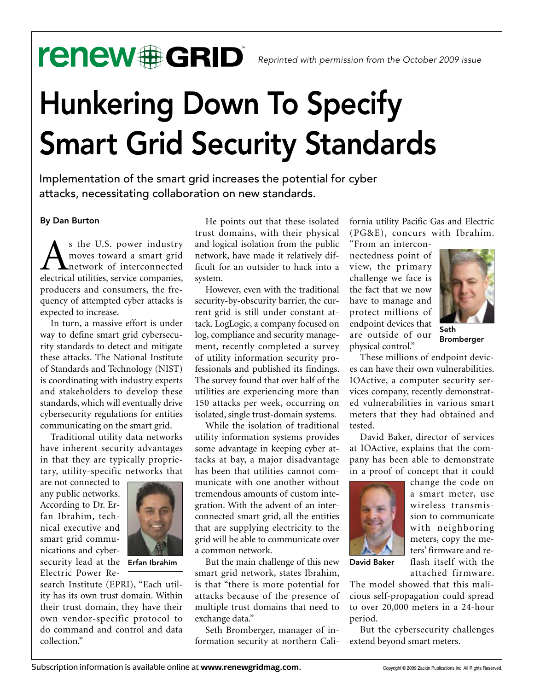## renew#GRID®

# Hunkering Down To Specify Smart Grid Security Standards

Implementation of the smart grid increases the potential for cyber attacks, necessitating collaboration on new standards.

### By Dan Burton

s the U.S. power industry moves toward a smart grid network of interconnected electrical utilities, service companies, producers and consumers, the frequency of attempted cyber attacks is expected to increase.

In turn, a massive effort is under way to define smart grid cybersecurity standards to detect and mitigate these attacks. The National Institute of Standards and Technology (NIST) is coordinating with industry experts and stakeholders to develop these standards, which will eventually drive cybersecurity regulations for entities communicating on the smart grid.

Traditional utility data networks have inherent security advantages in that they are typically proprietary, utility-specific networks that

are not connected to any public networks. According to Dr. Erfan Ibrahim, technical executive and smart grid communications and cybersecurity lead at the **Erfan Ibrahim** Electric Power Re-



search Institute (EPRI), "Each utility has its own trust domain. Within their trust domain, they have their own vendor-specific protocol to do command and control and data collection."

He points out that these isolated trust domains, with their physical and logical isolation from the public network, have made it relatively difficult for an outsider to hack into a system.

However, even with the traditional security-by-obscurity barrier, the current grid is still under constant attack. LogLogic, a company focused on log, compliance and security management, recently completed a survey of utility information security professionals and published its findings. The survey found that over half of the utilities are experiencing more than 150 attacks per week, occurring on isolated, single trust-domain systems.

While the isolation of traditional utility information systems provides some advantage in keeping cyber attacks at bay, a major disadvantage has been that utilities cannot communicate with one another without tremendous amounts of custom integration. With the advent of an interconnected smart grid, all the entities that are supplying electricity to the grid will be able to communicate over a common network.

Erfan Ibrahim But the main challenge of this new David Baker smart grid network, states Ibrahim, is that "there is more potential for attacks because of the presence of multiple trust domains that need to exchange data."

> Seth Bromberger, manager of information security at northern Cali

fornia utility Pacific Gas and Electric (PG&E), concurs with Ibrahim.

"From an interconnectedness point of view, the primary challenge we face is the fact that we now have to manage and protect millions of endpoint devices that are outside of our physical control."



Seth Bromberger

These millions of endpoint devices can have their own vulnerabilities. IOActive, a computer security services company, recently demonstrated vulnerabilities in various smart meters that they had obtained and tested.

David Baker, director of services at IOActive, explains that the company has been able to demonstrate in a proof of concept that it could



change the code on a smart meter, use wireless transmission to communicate with neighboring meters, copy the meters' firmware and reflash itself with the attached firmware.

The model showed that this malicious self-propagation could spread to over 20,000 meters in a 24-hour period.

But the cybersecurity challenges extend beyond smart meters.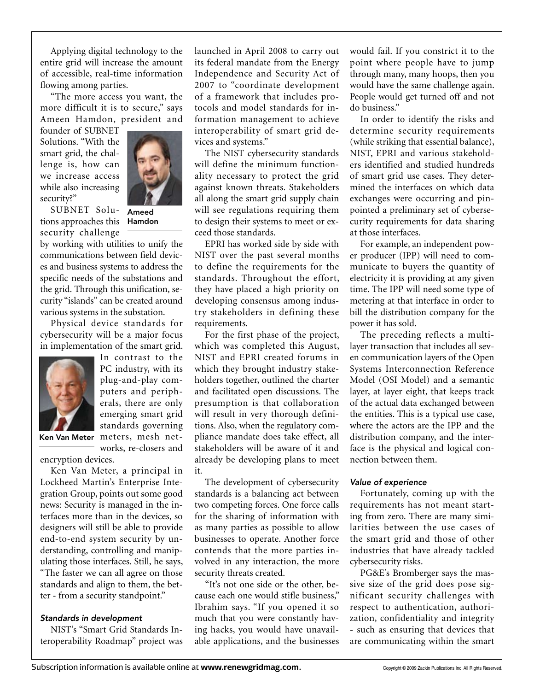Applying digital technology to the entire grid will increase the amount of accessible, real-time information flowing among parties.

"The more access you want, the more difficult it is to secure," says Ameen Hamdon, president and

founder of SUBNET Solutions. "With the smart grid, the challenge is, how can we increase access while also increasing security?"



SUBNET Solu-Ameed tions approaches this security challenge

Hamdon

by working with utilities to unify the communications between field devices and business systems to address the specific needs of the substations and the grid. Through this unification, security "islands" can be created around various systems in the substation.

Physical device standards for cybersecurity will be a major focus in implementation of the smart grid.



In contrast to the PC industry, with its plug-and-play computers and peripherals, there are only emerging smart grid standards governing Ken Van Meter meters, mesh net-

works, re-closers and

encryption devices.

Ken Van Meter, a principal in Lockheed Martin's Enterprise Integration Group, points out some good news: Security is managed in the interfaces more than in the devices, so designers will still be able to provide end-to-end system security by understanding, controlling and manipulating those interfaces. Still, he says, "The faster we can all agree on those standards and align to them, the better - from a security standpoint."

#### *Standards in development*

NIST's "Smart Grid Standards Interoperability Roadmap" project was launched in April 2008 to carry out its federal mandate from the Energy Independence and Security Act of 2007 to "coordinate development of a framework that includes protocols and model standards for information management to achieve interoperability of smart grid devices and systems."

The NIST cybersecurity standards will define the minimum functionality necessary to protect the grid against known threats. Stakeholders all along the smart grid supply chain will see regulations requiring them to design their systems to meet or exceed those standards.

EPRI has worked side by side with NIST over the past several months to define the requirements for the standards. Throughout the effort, they have placed a high priority on developing consensus among industry stakeholders in defining these requirements.

For the first phase of the project, which was completed this August, NIST and EPRI created forums in which they brought industry stakeholders together, outlined the charter and facilitated open discussions. The presumption is that collaboration will result in very thorough definitions. Also, when the regulatory compliance mandate does take effect, all stakeholders will be aware of it and already be developing plans to meet it.

The development of cybersecurity standards is a balancing act between two competing forces. One force calls for the sharing of information with as many parties as possible to allow businesses to operate. Another force contends that the more parties involved in any interaction, the more security threats created.

"It's not one side or the other, because each one would stifle business," Ibrahim says. "If you opened it so much that you were constantly having hacks, you would have unavailable applications, and the businesses would fail. If you constrict it to the point where people have to jump through many, many hoops, then you would have the same challenge again. People would get turned off and not do business."

In order to identify the risks and determine security requirements (while striking that essential balance), NIST, EPRI and various stakeholders identified and studied hundreds of smart grid use cases. They determined the interfaces on which data exchanges were occurring and pinpointed a preliminary set of cybersecurity requirements for data sharing at those interfaces.

For example, an independent power producer (IPP) will need to communicate to buyers the quantity of electricity it is providing at any given time. The IPP will need some type of metering at that interface in order to bill the distribution company for the power it has sold.

The preceding reflects a multilayer transaction that includes all seven communication layers of the Open Systems Interconnection Reference Model (OSI Model) and a semantic layer, at layer eight, that keeps track of the actual data exchanged between the entities. This is a typical use case, where the actors are the IPP and the distribution company, and the interface is the physical and logical connection between them.

#### *Value of experience*

Fortunately, coming up with the requirements has not meant starting from zero. There are many similarities between the use cases of the smart grid and those of other industries that have already tackled cybersecurity risks.

PG&E's Bromberger says the massive size of the grid does pose significant security challenges with respect to authentication, authorization, confidentiality and integrity - such as ensuring that devices that are communicating within the smart